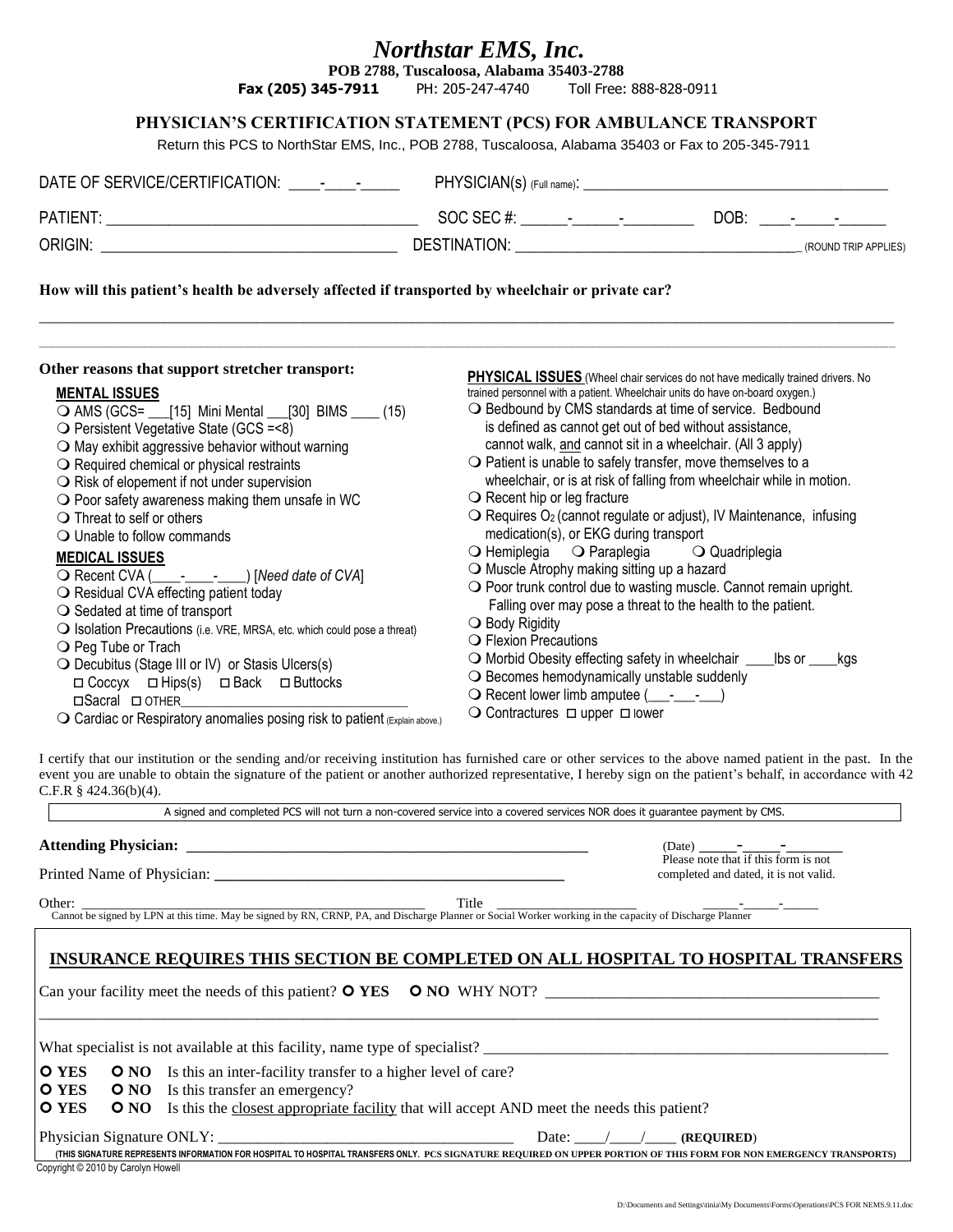# *Northstar EMS, Inc.*

**POB 2788, Tuscaloosa, Alabama 35403-2788**

**Fax (205) 345-7911** PH: 205-247-4740 Toll Free: 888-828-0911

#### **PHYSICIAN'S CERTIFICATION STATEMENT (PCS) FOR AMBULANCE TRANSPORT**

Return this PCS to NorthStar EMS, Inc., POB 2788, Tuscaloosa, Alabama 35403 or Fax to 205-345-7911

| How will this patient's health be adversely affected if transported by wheelchair or private car?                                                                                                                                                                                                                                                                                                                                                                                                                                  |                                                                                                                                                                                                                                                                                                                                                                                                                                                                                                                                                                                                                                                                                                                                                                     |  |  |
|------------------------------------------------------------------------------------------------------------------------------------------------------------------------------------------------------------------------------------------------------------------------------------------------------------------------------------------------------------------------------------------------------------------------------------------------------------------------------------------------------------------------------------|---------------------------------------------------------------------------------------------------------------------------------------------------------------------------------------------------------------------------------------------------------------------------------------------------------------------------------------------------------------------------------------------------------------------------------------------------------------------------------------------------------------------------------------------------------------------------------------------------------------------------------------------------------------------------------------------------------------------------------------------------------------------|--|--|
| Other reasons that support stretcher transport:                                                                                                                                                                                                                                                                                                                                                                                                                                                                                    | <b>PHYSICAL ISSUES</b> (Wheel chair services do not have medically trained drivers. No                                                                                                                                                                                                                                                                                                                                                                                                                                                                                                                                                                                                                                                                              |  |  |
| <b>MENTAL ISSUES</b><br>○ AMS (GCS= ___ [15] Mini Mental ___ [30] BIMS ____ (15)<br>$\bigcirc$ Persistent Vegetative State (GCS = <8)<br>$\bigcirc$ May exhibit aggressive behavior without warning<br>$\bigcirc$ Required chemical or physical restraints<br>$\bigcirc$ Risk of elopement if not under supervision<br>$\bigcirc$ Poor safety awareness making them unsafe in WC<br>$\bigcirc$ Threat to self or others<br>$\bigcirc$ Unable to follow commands<br><b>MEDICAL ISSUES</b><br>○ Residual CVA effecting patient today | trained personnel with a patient. Wheelchair units do have on-board oxygen.)<br>○ Bedbound by CMS standards at time of service. Bedbound<br>is defined as cannot get out of bed without assistance,<br>cannot walk, and cannot sit in a wheelchair. (All 3 apply)<br>$\bigcirc$ Patient is unable to safely transfer, move themselves to a<br>wheelchair, or is at risk of falling from wheelchair while in motion.<br>$\bigcirc$ Recent hip or leg fracture<br>$\bigcirc$ Requires O <sub>2</sub> (cannot regulate or adjust), IV Maintenance, infusing<br>medication(s), or EKG during transport<br>O Hemiplegia O Paraplegia O Quadriplegia<br>O Muscle Atrophy making sitting up a hazard<br>O Poor trunk control due to wasting muscle. Cannot remain upright. |  |  |
| $\bigcirc$ Sedated at time of transport<br>O Isolation Precautions (i.e. VRE, MRSA, etc. which could pose a threat)<br>$\bigcirc$ Peg Tube or Trach<br>○ Decubitus (Stage III or IV) or Stasis Ulcers(s)<br>$\Box$ Coccyx $\Box$ Hips(s) $\Box$ Back $\Box$ Buttocks<br>$\Omega$ Cardiac or Respiratory anomalies posing risk to patient (Evaluation)                                                                                                                                                                              | Falling over may pose a threat to the health to the patient.<br>$\bigcirc$ Body Rigidity<br><b>O</b> Flexion Precautions<br>O Morbid Obesity effecting safety in wheelchair ____ lbs or ___<br>kas<br>O Becomes hemodynamically unstable suddenly<br>O Recent lower limb amputee (__________)<br>$\bigcirc$ Contractures $\Box$ upper $\Box$ lower                                                                                                                                                                                                                                                                                                                                                                                                                  |  |  |

 $\mathbf O$  Cardiac or Respiratory anomalies posing risk to patient (Explain above.)

I certify that our institution or the sending and/or receiving institution has furnished care or other services to the above named patient in the past. In the event you are unable to obtain the signature of the patient or another authorized representative, I hereby sign on the patient's behalf, in accordance with 42 C.F.R § 424.36(b)(4).

A signed and completed PCS will not turn a non-covered service into a covered services NOR does it guarantee payment by CMS.

**Attending Physician:**  $(Date)$ 

Printed Name of Physician:

Please note that if this form is not completed and dated, it is not valid.

Other: Cannot be signed by LPN at this time. May be signed by RN, CRNP, PA, and Discharge Planner or Social Worker working in the capacity of Discharge Planner

## **INSURANCE REQUIRES THIS SECTION BE COMPLETED ON ALL HOSPITAL TO HOSPITAL TRANSFERS**

Can your facility meet the needs of this patient? **YES NO** WHY NOT? \_\_\_\_\_\_\_\_\_\_\_\_\_\_\_\_\_\_\_\_\_\_\_\_\_\_\_\_\_\_\_\_\_\_\_\_\_\_\_\_\_\_\_

| What specialist is not available at this facility, name type of specialist? |  |                                                                                                             |  |
|-----------------------------------------------------------------------------|--|-------------------------------------------------------------------------------------------------------------|--|
|                                                                             |  | <b>O</b> YES <b>O</b> NO Is this an inter-facility transfer to a higher level of care?                      |  |
|                                                                             |  | <b>O YES O NO</b> Is this transfer an emergency?                                                            |  |
|                                                                             |  | <b>O</b> YES ONO Is this the closest appropriate facility that will accept AND meet the needs this patient? |  |
|                                                                             |  |                                                                                                             |  |

Physician Signature ONLY: \_\_\_\_\_\_\_\_\_\_\_\_\_\_\_\_\_\_\_\_\_\_\_\_\_\_\_\_\_\_\_\_\_\_\_\_\_\_ Date: \_\_\_\_/\_\_\_\_/\_\_\_\_ **(REQUIRED**) **(THIS SIGNATURE REPRESENTS INFORMATION FOR HOSPITAL TO HOSPITAL TRANSFERS ONLY. PCS SIGNATURE REQUIRED ON UPPER PORTION OF THIS FORM FOR NON EMERGENCY TRANSPORTS)**

Copyright © 2010 by Carolyn Howell